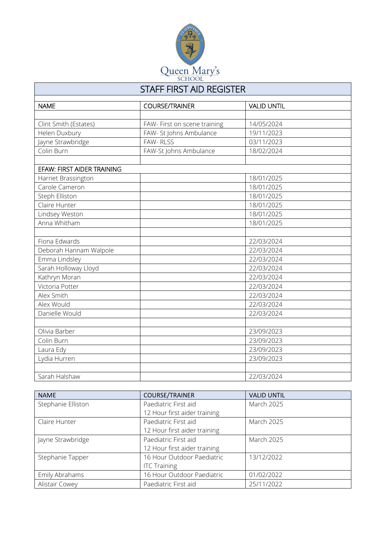

## STAFF FIRST AID REGISTER

| <b>NAME</b>                       | <b>COURSE/TRAINER</b>        | <b>VALID UNTIL</b> |  |  |
|-----------------------------------|------------------------------|--------------------|--|--|
|                                   |                              |                    |  |  |
| Clint Smith (Estates)             | FAW- First on scene training | 14/05/2024         |  |  |
| Helen Duxbury                     | FAW- St Johns Ambulance      | 19/11/2023         |  |  |
| Jayne Strawbridge                 | FAW-RLSS                     | 03/11/2023         |  |  |
| Colin Burn                        | FAW-St Johns Ambulance       | 18/02/2024         |  |  |
|                                   |                              |                    |  |  |
| <b>EFAW: FIRST AIDER TRAINING</b> |                              |                    |  |  |
| Harriet Brassington               |                              | 18/01/2025         |  |  |
| Carole Cameron                    |                              | 18/01/2025         |  |  |
| Steph Elliston                    |                              | 18/01/2025         |  |  |
| Claire Hunter                     |                              | 18/01/2025         |  |  |
| Lindsey Weston                    |                              | 18/01/2025         |  |  |
| Anna Whitham                      |                              | 18/01/2025         |  |  |
|                                   |                              |                    |  |  |
| Fiona Edwards                     |                              | 22/03/2024         |  |  |
| Deborah Hannam Walpole            |                              | 22/03/2024         |  |  |
| Emma Lindsley                     |                              | 22/03/2024         |  |  |
| Sarah Holloway Lloyd              |                              | 22/03/2024         |  |  |
| Kathryn Moran                     |                              | 22/03/2024         |  |  |
| Victoria Potter                   |                              | 22/03/2024         |  |  |
| Alex Smith                        |                              | 22/03/2024         |  |  |
| Alex Would                        |                              | 22/03/2024         |  |  |
| Danielle Would                    |                              | 22/03/2024         |  |  |
|                                   |                              |                    |  |  |
| Olivia Barber                     |                              | 23/09/2023         |  |  |
| Colin Burn                        |                              | 23/09/2023         |  |  |
| Laura Edy                         |                              | 23/09/2023         |  |  |
| Lydia Hurren                      |                              | 23/09/2023         |  |  |
|                                   |                              |                    |  |  |
| Sarah Halshaw                     |                              | 22/03/2024         |  |  |

| <b>NAME</b>        | <b>COURSE/TRAINER</b>        | <b>VALID UNTIL</b> |
|--------------------|------------------------------|--------------------|
| Stephanie Elliston | Paediatric First aid         | March 2025         |
|                    | 12 Hour first aider training |                    |
| Claire Hunter      | Paediatric First aid         | <b>March 2025</b>  |
|                    | 12 Hour first aider training |                    |
| Jayne Strawbridge  | Paediatric First aid         | <b>March 2025</b>  |
|                    | 12 Hour first aider training |                    |
| Stephanie Tapper   | 16 Hour Outdoor Paediatric   | 13/12/2022         |
|                    | <b>ITC Training</b>          |                    |
| Emily Abrahams     | 16 Hour Outdoor Paediatric   | 01/02/2022         |
| Alistair Cowey     | Paediatric First aid         | 25/11/2022         |